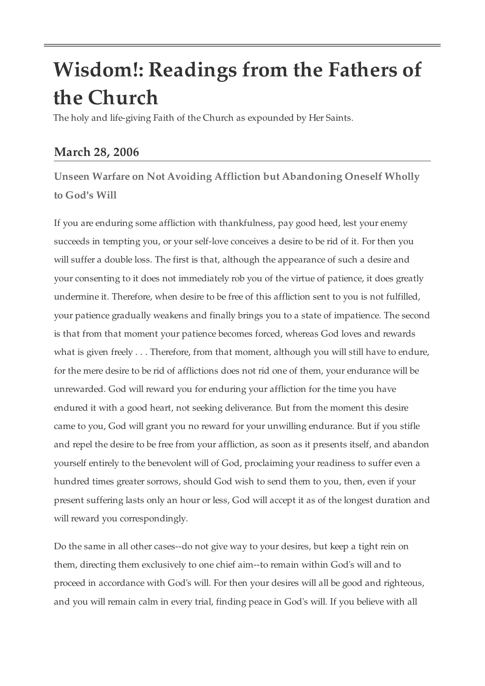# Wisdom!: Readings from the Fathers of the Church

The holy and life-giving Faith of the Church as expounded by Her Saints.

## March 28, 2006

Unseen Warfare on Not Avoiding Affliction but Abandoning Oneself Wholly to God's Will

If you are enduring some affliction with thankfulness, pay good heed, lest your enemy succeeds in tempting you, or your self-love conceives a desire to be rid of it. For then you will suffer a double loss. The first is that, although the appearance of such a desire and your consenting to it does not immediately rob you of the virtue of patience, it does greatly undermine it. Therefore, when desire to be free of this affliction sent to you is not fulfilled, your patience gradually weakens and finally brings you to a state of impatience. The second is that from that moment your patience becomes forced, whereas God loves and rewards what is given freely . . . Therefore, from that moment, although you will still have to endure, for the mere desire to be rid of afflictions does not rid one of them, your endurance will be unrewarded. God will reward you for enduring your affliction for the time you have endured it with a good heart, not seeking deliverance. But from the moment this desire came to you, God will grant you no reward for your unwilling endurance. But if you stifle and repel the desire to be free from your affliction, as soon as it presents itself, and abandon yourself entirely to the benevolent will of God, proclaiming your readiness to suffer even a hundred times greater sorrows, should God wish to send them to you, then, even if your present suffering lasts only an hour or less, God will accept it as of the longest duration and will reward you correspondingly.

Do the same in all other cases--do not give way to your desires, but keep a tight rein on them, directing them exclusively to one chief aim--to remain within God's will and to proceed in accordance with God's will. For then your desires will all be good and righteous, and you will remain calm in every trial, finding peace in God's will. If you believe with all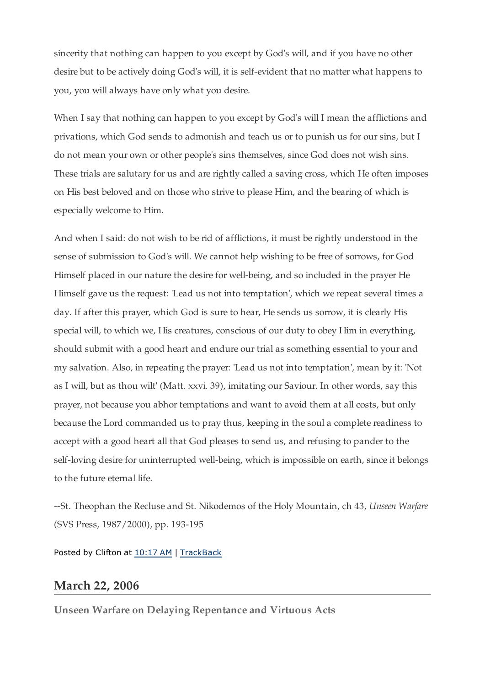sincerity that nothing can happen to you except by God's will, and if you have no other desire but to be actively doing God's will, it is self-evident that no matter what happens to you, you will always have only what you desire.

When I say that nothing can happen to you except by God's will I mean the afflictions and privations, which God sends to admonish and teach us or to punish us for our sins, but I do not mean your own or other people's sins themselves, since God does not wish sins. These trials are salutary for us and are rightly called a saving cross, which He often imposes on His best beloved and on those who strive to please Him, and the bearing of which is especially welcome to Him.

And when I said: do not wish to be rid of afflictions, it must be rightly understood in the sense of submission to God's will. We cannot help wishing to be free of sorrows, for God Himself placed in our nature the desire for well-being, and so included in the prayer He Himself gave us the request: 'Lead us not into temptation', which we repeat several times a day. If after this prayer, which God is sure to hear, He sends us sorrow, it is clearly His special will, to which we, His creatures, conscious of our duty to obey Him in everything, should submit with a good heart and endure our trial as something essential to your and my salvation. Also, in repeating the prayer: 'Lead us not into temptation', mean by it: 'Not as I will, but as thou wilt' (Matt. xxvi. 39), imitating our Saviour. In other words, say this prayer, not because you abhor temptations and want to avoid them at all costs, but only because the Lord commanded us to pray thus, keeping in the soul a complete readiness to accept with a good heart all that God pleases to send us, and refusing to pander to the self-loving desire for uninterrupted well-being, which is impossible on earth, since it belongs to the future eternal life.

--St. Theophan the Recluse and St. Nikodemos of the Holy Mountain, ch 43, Unseen Warfare (SVS Press, 1987/2000), pp. 193-195

Posted by Clifton at 10:17 AM | TrackBack

### March 22, 2006

Unseen Warfare on Delaying Repentance and Virtuous Acts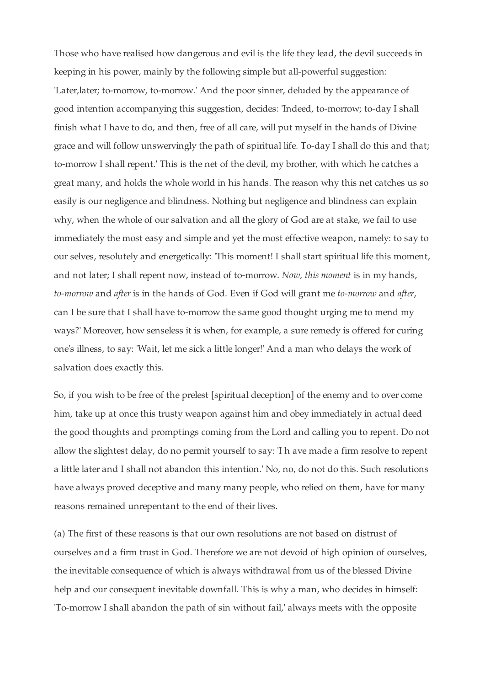Those who have realised how dangerous and evil is the life they lead, the devil succeeds in keeping in his power, mainly by the following simple but all-powerful suggestion: 'Later,later; to-morrow, to-morrow.' And the poor sinner, deluded by the appearance of good intention accompanying this suggestion, decides: 'Indeed, to-morrow; to-day I shall finish what I have to do, and then, free of all care, will put myself in the hands of Divine grace and will follow unswervingly the path of spiritual life. To-day I shall do this and that; to-morrow I shall repent.' This is the net of the devil, my brother, with which he catches a great many, and holds the whole world in his hands. The reason why this net catches us so easily is our negligence and blindness. Nothing but negligence and blindness can explain why, when the whole of our salvation and all the glory of God are at stake, we fail to use immediately the most easy and simple and yet the most effective weapon, namely: to say to our selves, resolutely and energetically: 'This moment! I shall start spiritual life this moment, and not later; I shall repent now, instead of to-morrow. Now, this moment is in my hands, to-morrow and after is in the hands of God. Even if God will grant me to-morrow and after, can I be sure that I shall have to-morrow the same good thought urging me to mend my ways?' Moreover, how senseless it is when, for example, a sure remedy is offered for curing one's illness, to say: 'Wait, let me sick a little longer!' And a man who delays the work of salvation does exactly this.

So, if you wish to be free of the prelest [spiritual deception] of the enemy and to over come him, take up at once this trusty weapon against him and obey immediately in actual deed the good thoughts and promptings coming from the Lord and calling you to repent. Do not allow the slightest delay, do no permit yourself to say: 'I h ave made a firm resolve to repent a little later and I shall not abandon this intention.' No, no, do not do this. Such resolutions have always proved deceptive and many many people, who relied on them, have for many reasons remained unrepentant to the end of their lives.

(a) The first of these reasons is that our own resolutions are not based on distrust of ourselves and a firm trust in God. Therefore we are not devoid of high opinion of ourselves, the inevitable consequence of which is always withdrawal from us of the blessed Divine help and our consequent inevitable downfall. This is why a man, who decides in himself: 'To-morrow I shall abandon the path of sin without fail,' always meets with the opposite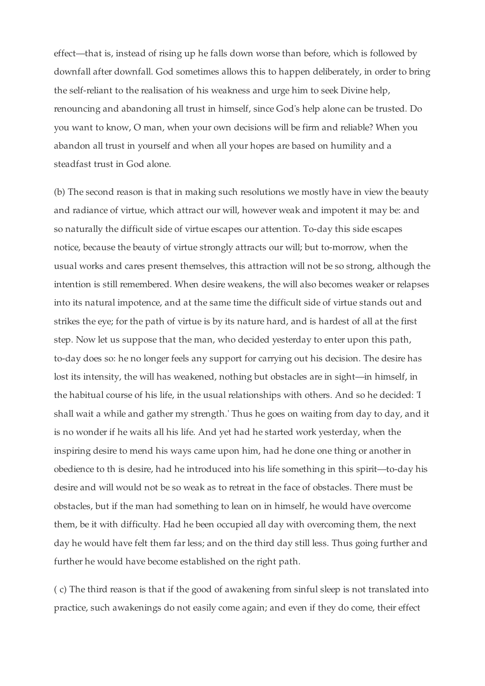effect—that is, instead of rising up he falls down worse than before, which is followed by downfall after downfall. God sometimes allows this to happen deliberately, in order to bring the self-reliant to the realisation of his weakness and urge him to seek Divine help, renouncing and abandoning all trust in himself, since God's help alone can be trusted. Do you want to know, O man, when your own decisions will be firm and reliable? When you abandon all trust in yourself and when all your hopes are based on humility and a steadfast trust in God alone.

(b) The second reason is that in making such resolutions we mostly have in view the beauty and radiance of virtue, which attract our will, however weak and impotent it may be: and so naturally the difficult side of virtue escapes our attention. To-day this side escapes notice, because the beauty of virtue strongly attracts our will; but to-morrow, when the usual works and cares present themselves, this attraction will not be so strong, although the intention is still remembered. When desire weakens, the will also becomes weaker or relapses into its natural impotence, and at the same time the difficult side of virtue stands out and strikes the eye; for the path of virtue is by its nature hard, and is hardest of all at the first step. Now let us suppose that the man, who decided yesterday to enter upon this path, to-day does so: he no longer feels any support for carrying out his decision. The desire has lost its intensity, the will has weakened, nothing but obstacles are in sight—in himself, in the habitual course of his life, in the usual relationships with others. And so he decided: 'I shall wait a while and gather my strength.' Thus he goes on waiting from day to day, and it is no wonder if he waits all his life. And yet had he started work yesterday, when the inspiring desire to mend his ways came upon him, had he done one thing or another in obedience to th is desire, had he introduced into his life something in this spirit—to-day his desire and will would not be so weak as to retreat in the face of obstacles. There must be obstacles, but if the man had something to lean on in himself, he would have overcome them, be it with difficulty. Had he been occupied all day with overcoming them, the next day he would have felt them far less; and on the third day still less. Thus going further and further he would have become established on the right path.

( c) The third reason is that if the good of awakening from sinful sleep is not translated into practice, such awakenings do not easily come again; and even if they do come, their effect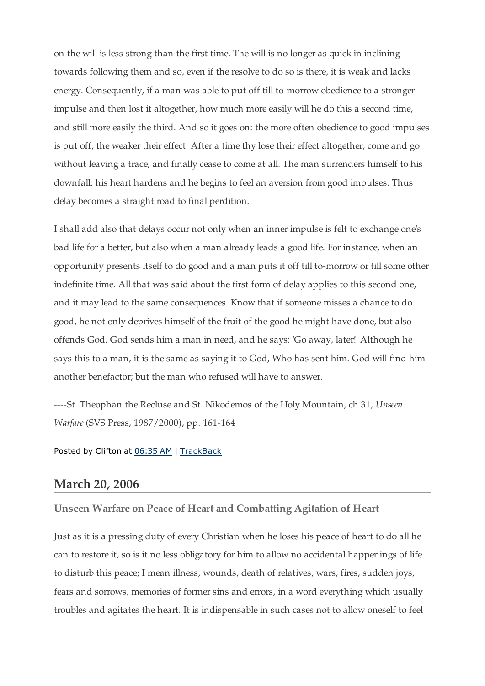on the will is less strong than the first time. The will is no longer as quick in inclining towards following them and so, even if the resolve to do so is there, it is weak and lacks energy. Consequently, if a man was able to put off till to-morrow obedience to a stronger impulse and then lost it altogether, how much more easily will he do this a second time, and still more easily the third. And so it goes on: the more often obedience to good impulses is put off, the weaker their effect. After a time thy lose their effect altogether, come and go without leaving a trace, and finally cease to come at all. The man surrenders himself to his downfall: his heart hardens and he begins to feel an aversion from good impulses. Thus delay becomes a straight road to final perdition.

I shall add also that delays occur not only when an inner impulse is felt to exchange one's bad life for a better, but also when a man already leads a good life. For instance, when an opportunity presents itself to do good and a man puts it off till to-morrow or till some other indefinite time. All that was said about the first form of delay applies to this second one, and it may lead to the same consequences. Know that if someone misses a chance to do good, he not only deprives himself of the fruit of the good he might have done, but also offends God. God sends him a man in need, and he says: 'Go away, later!' Although he says this to a man, it is the same as saying it to God, Who has sent him. God will find him another benefactor; but the man who refused will have to answer.

----St. Theophan the Recluse and St. Nikodemos of the Holy Mountain, ch 31, Unseen Warfare (SVS Press, 1987/2000), pp. 161-164

#### Posted by Clifton at 06:35 AM | TrackBack

#### March 20, 2006

#### Unseen Warfare on Peace of Heart and Combatting Agitation of Heart

Just as it is a pressing duty of every Christian when he loses his peace of heart to do all he can to restore it, so is it no less obligatory for him to allow no accidental happenings of life to disturb this peace; I mean illness, wounds, death of relatives, wars, fires, sudden joys, fears and sorrows, memories of former sins and errors, in a word everything which usually troubles and agitates the heart. It is indispensable in such cases not to allow oneself to feel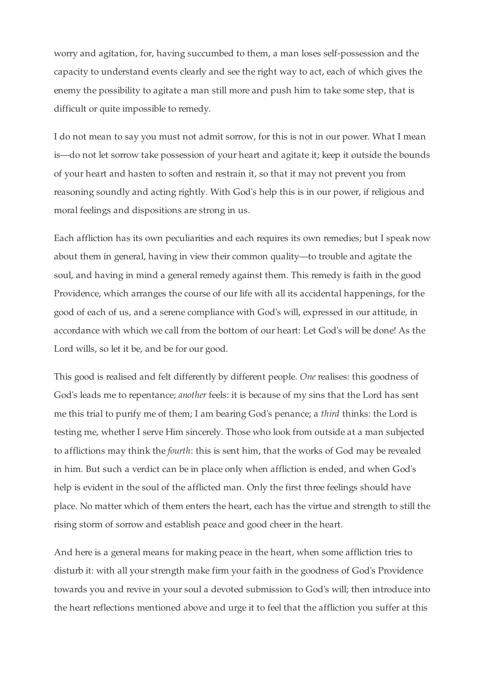worry and agitation, for, having succumbed to them, a man loses self-possession and the capacity to understand events clearly and see the right way to act, each of which gives the enemy the possibility to agitate a man still more and push him to take some step, that is difficult or quite impossible to remedy.

I do not mean to say you must not admit sorrow, for this is not in our power. What I mean is—do not let sorrow take possession of your heart and agitate it; keep it outside the bounds of your heart and hasten to soften and restrain it, so that it may not prevent you from reasoning soundly and acting rightly. With God's help this is in our power, if religious and moral feelings and dispositions are strong in us.

Each affliction has its own peculiarities and each requires its own remedies; but I speak now about them in general, having in view their common quality—to trouble and agitate the soul, and having in mind a general remedy against them. This remedy is faith in the good Providence, which arranges the course of our life with all its accidental happenings, for the good of each of us, and a serene compliance with God's will, expressed in our attitude, in accordance with which we call from the bottom of our heart: Let God's will be done! As the Lord wills, so let it be, and be for our good.

This good is realised and felt differently by different people. One realises: this goodness of God's leads me to repentance; another feels: it is because of my sins that the Lord has sent me this trial to purify me of them; I am bearing God's penance; a third thinks: the Lord is testing me, whether I serve Him sincerely. Those who look from outside at a man subjected to afflictions may think the fourth: this is sent him, that the works of God may be revealed in him. But such a verdict can be in place only when affliction is ended, and when God's help is evident in the soul of the afflicted man. Only the first three feelings should have place. No matter which of them enters the heart, each has the virtue and strength to still the rising storm of sorrow and establish peace and good cheer in the heart.

And here is a general means for making peace in the heart, when some affliction tries to disturb it: with all your strength make firm your faith in the goodness of God's Providence towards you and revive in your soul a devoted submission to God's will; then introduce into the heart reflections mentioned above and urge it to feel that the affliction you suffer at this